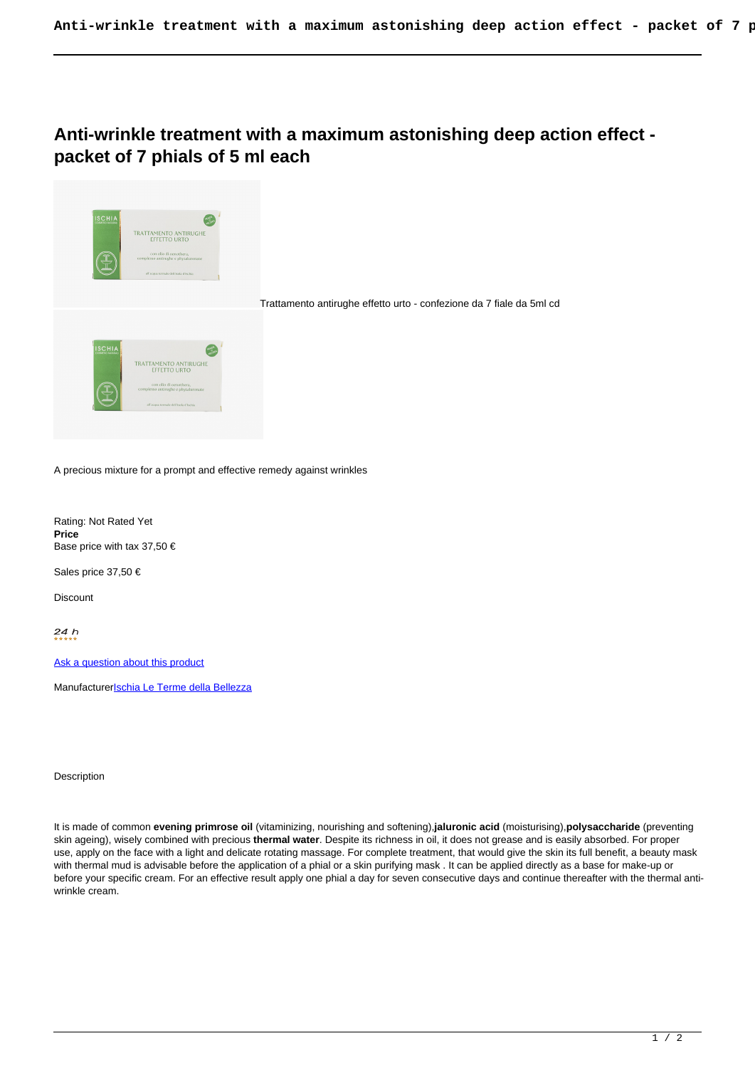## **Anti-wrinkle treatment with a maximum astonishing deep action effect packet of 7 phials of 5 ml each**



A precious mixture for a prompt and effective remedy against wrinkles

Rating: Not Rated Yet **Price**  Base price with tax 37,50 €

Sales price 37,50 €

**Discount** 

 $24h$ 

[Ask a question about this product](https://shop.ischia.it/index.php?option=com_virtuemart&view=productdetails&task=askquestion&virtuemart_product_id=363&virtuemart_category_id=5&tmpl=component)

Manufacturerlschia Le Terme della Bellezza

Description

It is made of common **evening primrose oil** (vitaminizing, nourishing and softening),**jaluronic acid** (moisturising),**polysaccharide** (preventing skin ageing), wisely combined with precious **thermal water**. Despite its richness in oil, it does not grease and is easily absorbed. For proper use, apply on the face with a light and delicate rotating massage. For complete treatment, that would give the skin its full benefit, a beauty mask with thermal mud is advisable before the application of a phial or a skin purifying mask . It can be applied directly as a base for make-up or before your specific cream. For an effective result apply one phial a day for seven consecutive days and continue thereafter with the thermal antiwrinkle cream.